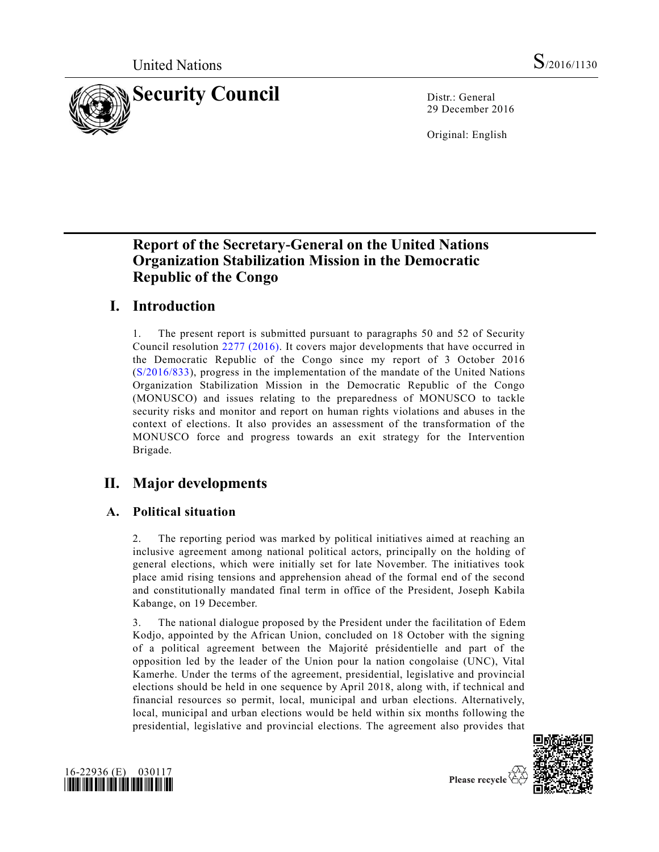

29 December 2016

Original: English

# **Report of the Secretary-General on the United Nations Organization Stabilization Mission in the Democratic Republic of the Congo**

# **I. Introduction**

1. The present report is submitted pursuant to paragraphs 50 and 52 of Security Council resolution [2277 \(2016\).](http://undocs.org/S/RES/2277(2016)) It covers major developments that have occurred in the Democratic Republic of the Congo since my report of 3 October 2016 [\(S/2016/833\)](http://undocs.org/S/2016/833), progress in the implementation of the mandate of the United Nations Organization Stabilization Mission in the Democratic Republic of the Congo (MONUSCO) and issues relating to the preparedness of MONUSCO to tackle security risks and monitor and report on human rights violations and abuses in the context of elections. It also provides an assessment of the transformation of the MONUSCO force and progress towards an exit strategy for the Intervention Brigade.

# **II. Major developments**

## **A. Political situation**

2. The reporting period was marked by political initiatives aimed at reaching an inclusive agreement among national political actors, principally on the holding of general elections, which were initially set for late November. The initiatives took place amid rising tensions and apprehension ahead of the formal end of the second and constitutionally mandated final term in office of the President, Joseph Kabila Kabange, on 19 December.

3. The national dialogue proposed by the President under the facilitation of Edem Kodjo, appointed by the African Union, concluded on 18 October with the signing of a political agreement between the Majorité présidentielle and part of the opposition led by the leader of the Union pour la nation congolaise (UNC), Vital Kamerhe. Under the terms of the agreement, presidential, legislative and provincial elections should be held in one sequence by April 2018, along with, if technical and financial resources so permit, local, municipal and urban elections. Alternatively, local, municipal and urban elections would be held within six months following the presidential, legislative and provincial elections. The agreement also provides that





Please recycle  $\overline{\mathcal{C}}$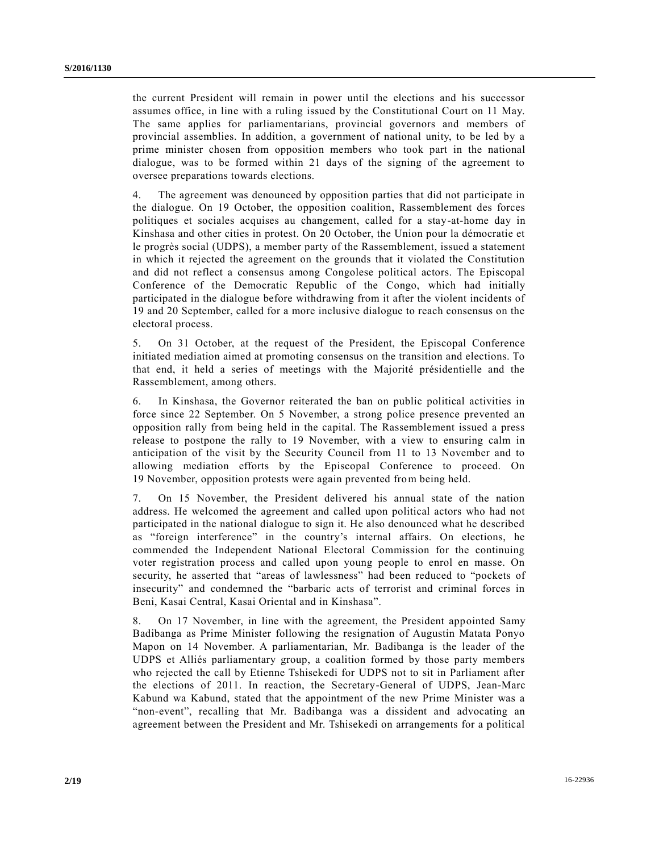the current President will remain in power until the elections and his successor assumes office, in line with a ruling issued by the Constitutional Court on 11 May. The same applies for parliamentarians, provincial governors and members of provincial assemblies. In addition, a government of national unity, to be led by a prime minister chosen from opposition members who took part in the national dialogue, was to be formed within 21 days of the signing of the agreement to oversee preparations towards elections.

4. The agreement was denounced by opposition parties that did not participate in the dialogue. On 19 October, the opposition coalition, Rassemblement des forces politiques et sociales acquises au changement, called for a stay-at-home day in Kinshasa and other cities in protest. On 20 October, the Union pour la démocratie et le progrès social (UDPS), a member party of the Rassemblement, issued a statement in which it rejected the agreement on the grounds that it violated the Constitution and did not reflect a consensus among Congolese political actors. The Episcopal Conference of the Democratic Republic of the Congo, which had initially participated in the dialogue before withdrawing from it after the violent incidents of 19 and 20 September, called for a more inclusive dialogue to reach consensus on the electoral process.

5. On 31 October, at the request of the President, the Episcopal Conference initiated mediation aimed at promoting consensus on the transition and elections. To that end, it held a series of meetings with the Majorité présidentielle and the Rassemblement, among others.

6. In Kinshasa, the Governor reiterated the ban on public political activities in force since 22 September. On 5 November, a strong police presence prevented an opposition rally from being held in the capital. The Rassemblement issued a press release to postpone the rally to 19 November, with a view to ensuring calm in anticipation of the visit by the Security Council from 11 to 13 November and to allowing mediation efforts by the Episcopal Conference to proceed. On 19 November, opposition protests were again prevented from being held.

7. On 15 November, the President delivered his annual state of the nation address. He welcomed the agreement and called upon political actors who had not participated in the national dialogue to sign it. He also denounced what he described as "foreign interference" in the country's internal affairs. On elections, he commended the Independent National Electoral Commission for the continuing voter registration process and called upon young people to enrol en masse. On security, he asserted that "areas of lawlessness" had been reduced to "pockets of insecurity" and condemned the "barbaric acts of terrorist and criminal forces in Beni, Kasai Central, Kasai Oriental and in Kinshasa".

8. On 17 November, in line with the agreement, the President appointed Samy Badibanga as Prime Minister following the resignation of Augustin Matata Ponyo Mapon on 14 November. A parliamentarian, Mr. Badibanga is the leader of the UDPS et Alliés parliamentary group, a coalition formed by those party members who rejected the call by Etienne Tshisekedi for UDPS not to sit in Parliament after the elections of 2011. In reaction, the Secretary-General of UDPS, Jean-Marc Kabund wa Kabund, stated that the appointment of the new Prime Minister was a "non-event", recalling that Mr. Badibanga was a dissident and advocating an agreement between the President and Mr. Tshisekedi on arrangements for a political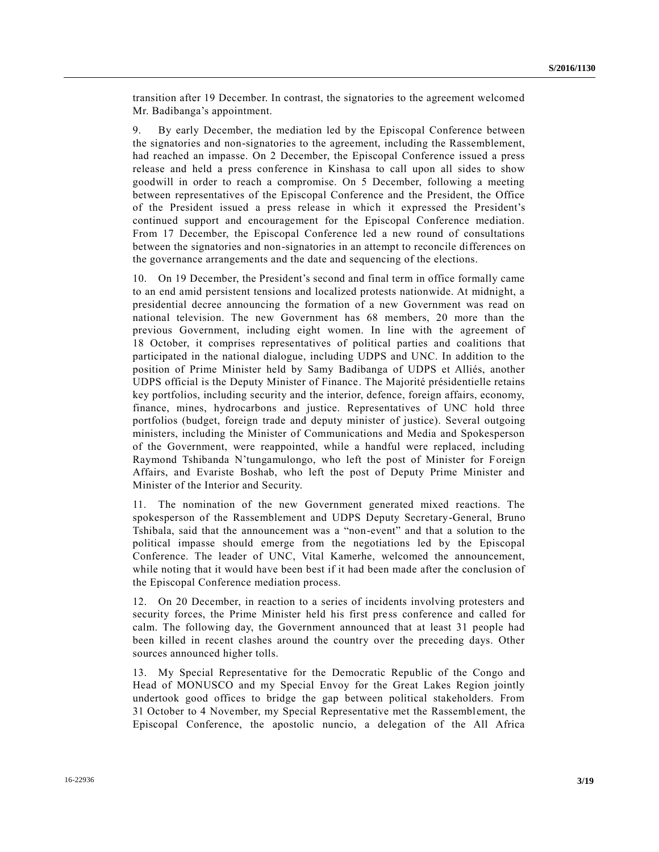transition after 19 December. In contrast, the signatories to the agreement welcomed Mr. Badibanga's appointment.

9. By early December, the mediation led by the Episcopal Conference between the signatories and non-signatories to the agreement, including the Rassemblement, had reached an impasse. On 2 December, the Episcopal Conference issued a press release and held a press conference in Kinshasa to call upon all sides to show goodwill in order to reach a compromise. On 5 December, following a meeting between representatives of the Episcopal Conference and the President, the Office of the President issued a press release in which it expressed the President's continued support and encouragement for the Episcopal Conference mediation. From 17 December, the Episcopal Conference led a new round of consultations between the signatories and non-signatories in an attempt to reconcile differences on the governance arrangements and the date and sequencing of the elections.

10. On 19 December, the President's second and final term in office formally came to an end amid persistent tensions and localized protests nationwide. At midnight, a presidential decree announcing the formation of a new Government was read on national television. The new Government has 68 members, 20 more than the previous Government, including eight women. In line with the agreement of 18 October, it comprises representatives of political parties and coalitions that participated in the national dialogue, including UDPS and UNC. In addition to the position of Prime Minister held by Samy Badibanga of UDPS et Alliés, another UDPS official is the Deputy Minister of Finance. The Majorité présidentielle retains key portfolios, including security and the interior, defence, foreign affairs, economy, finance, mines, hydrocarbons and justice. Representatives of UNC hold three portfolios (budget, foreign trade and deputy minister of justice). Several outgoing ministers, including the Minister of Communications and Media and Spokesperson of the Government, were reappointed, while a handful were replaced, including Raymond Tshibanda N'tungamulongo, who left the post of Minister for Foreign Affairs, and Evariste Boshab, who left the post of Deputy Prime Minister and Minister of the Interior and Security.

11. The nomination of the new Government generated mixed reactions. The spokesperson of the Rassemblement and UDPS Deputy Secretary-General, Bruno Tshibala, said that the announcement was a "non-event" and that a solution to the political impasse should emerge from the negotiations led by the Episcopal Conference. The leader of UNC, Vital Kamerhe, welcomed the announcement, while noting that it would have been best if it had been made after the conclusion of the Episcopal Conference mediation process.

12. On 20 December, in reaction to a series of incidents involving protesters and security forces, the Prime Minister held his first press conference and called for calm. The following day, the Government announced that at least 31 people had been killed in recent clashes around the country over the preceding days. Other sources announced higher tolls.

13. My Special Representative for the Democratic Republic of the Congo and Head of MONUSCO and my Special Envoy for the Great Lakes Region jointly undertook good offices to bridge the gap between political stakeholders. From 31 October to 4 November, my Special Representative met the Rassemblement, the Episcopal Conference, the apostolic nuncio, a delegation of the All Africa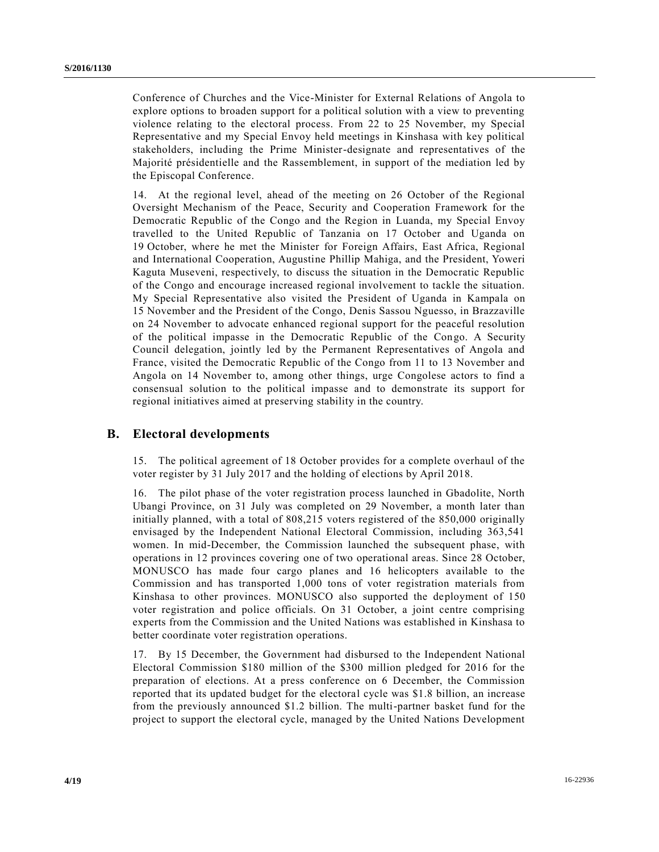Conference of Churches and the Vice-Minister for External Relations of Angola to explore options to broaden support for a political solution with a view to preventing violence relating to the electoral process. From 22 to 25 November, my Special Representative and my Special Envoy held meetings in Kinshasa with key political stakeholders, including the Prime Minister-designate and representatives of the Majorité présidentielle and the Rassemblement, in support of the mediation led by the Episcopal Conference.

14. At the regional level, ahead of the meeting on 26 October of the Regional Oversight Mechanism of the Peace, Security and Cooperation Framework for the Democratic Republic of the Congo and the Region in Luanda, my Special Envoy travelled to the United Republic of Tanzania on 17 October and Uganda on 19 October, where he met the Minister for Foreign Affairs, East Africa, Regional and International Cooperation, Augustine Phillip Mahiga, and the President, Yoweri Kaguta Museveni, respectively, to discuss the situation in the Democratic Republic of the Congo and encourage increased regional involvement to tackle the situation. My Special Representative also visited the President of Uganda in Kampala on 15 November and the President of the Congo, Denis Sassou Nguesso, in Brazzaville on 24 November to advocate enhanced regional support for the peaceful resolution of the political impasse in the Democratic Republic of the Congo. A Security Council delegation, jointly led by the Permanent Representatives of Angola and France, visited the Democratic Republic of the Congo from 11 to 13 November and Angola on 14 November to, among other things, urge Congolese actors to find a consensual solution to the political impasse and to demonstrate its support for regional initiatives aimed at preserving stability in the country.

#### **B. Electoral developments**

15. The political agreement of 18 October provides for a complete overhaul of the voter register by 31 July 2017 and the holding of elections by April 2018.

16. The pilot phase of the voter registration process launched in Gbadolite, North Ubangi Province, on 31 July was completed on 29 November, a month later than initially planned, with a total of 808,215 voters registered of the 850,000 originally envisaged by the Independent National Electoral Commission, including 363,541 women. In mid-December, the Commission launched the subsequent phase, with operations in 12 provinces covering one of two operational areas. Since 28 October, MONUSCO has made four cargo planes and 16 helicopters available to the Commission and has transported 1,000 tons of voter registration materials from Kinshasa to other provinces. MONUSCO also supported the deployment of 150 voter registration and police officials. On 31 October, a joint centre comprising experts from the Commission and the United Nations was established in Kinshasa to better coordinate voter registration operations.

17. By 15 December, the Government had disbursed to the Independent National Electoral Commission \$180 million of the \$300 million pledged for 2016 for the preparation of elections. At a press conference on 6 December, the Commission reported that its updated budget for the electoral cycle was \$1.8 billion, an increase from the previously announced \$1.2 billion. The multi-partner basket fund for the project to support the electoral cycle, managed by the United Nations Development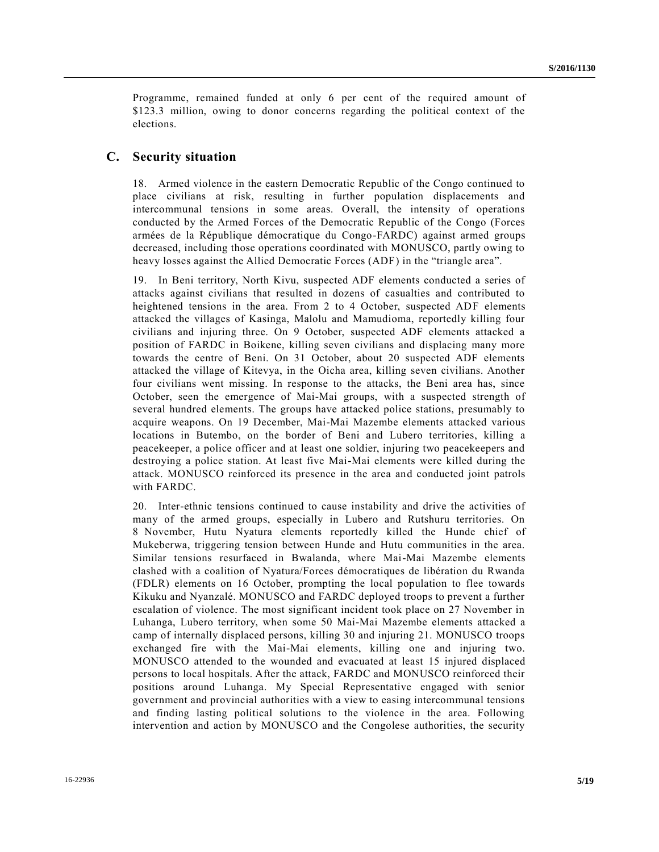Programme, remained funded at only 6 per cent of the required amount of \$123.3 million, owing to donor concerns regarding the political context of the elections.

#### **C. Security situation**

18. Armed violence in the eastern Democratic Republic of the Congo continued to place civilians at risk, resulting in further population displacements and intercommunal tensions in some areas. Overall, the intensity of operations conducted by the Armed Forces of the Democratic Republic of the Congo (Forces armées de la République démocratique du Congo-FARDC) against armed groups decreased, including those operations coordinated with MONUSCO, partly owing to heavy losses against the Allied Democratic Forces (ADF) in the "triangle area".

19. In Beni territory, North Kivu, suspected ADF elements conducted a series of attacks against civilians that resulted in dozens of casualties and contributed to heightened tensions in the area. From 2 to 4 October, suspected ADF elements attacked the villages of Kasinga, Malolu and Mamudioma, reportedly killing four civilians and injuring three. On 9 October, suspected ADF elements attacked a position of FARDC in Boikene, killing seven civilians and displacing many more towards the centre of Beni. On 31 October, about 20 suspected ADF elements attacked the village of Kitevya, in the Oicha area, killing seven civilians. Another four civilians went missing. In response to the attacks, the Beni area has, since October, seen the emergence of Mai-Mai groups, with a suspected strength of several hundred elements. The groups have attacked police stations, presumably to acquire weapons. On 19 December, Mai-Mai Mazembe elements attacked various locations in Butembo, on the border of Beni and Lubero territories, killing a peacekeeper, a police officer and at least one soldier, injuring two peacekeepers and destroying a police station. At least five Mai-Mai elements were killed during the attack. MONUSCO reinforced its presence in the area and conducted joint patrols with FARDC.

20. Inter-ethnic tensions continued to cause instability and drive the activities of many of the armed groups, especially in Lubero and Rutshuru territories. On 8 November, Hutu Nyatura elements reportedly killed the Hunde chief of Mukeberwa, triggering tension between Hunde and Hutu communities in the area. Similar tensions resurfaced in Bwalanda, where Mai-Mai Mazembe elements clashed with a coalition of Nyatura/Forces démocratiques de libération du Rwanda (FDLR) elements on 16 October, prompting the local population to flee towards Kikuku and Nyanzalé. MONUSCO and FARDC deployed troops to prevent a further escalation of violence. The most significant incident took place on 27 November in Luhanga, Lubero territory, when some 50 Mai-Mai Mazembe elements attacked a camp of internally displaced persons, killing 30 and injuring 21. MONUSCO troops exchanged fire with the Mai-Mai elements, killing one and injuring two. MONUSCO attended to the wounded and evacuated at least 15 injured displaced persons to local hospitals. After the attack, FARDC and MONUSCO reinforced their positions around Luhanga. My Special Representative engaged with senior government and provincial authorities with a view to easing intercommunal tensions and finding lasting political solutions to the violence in the area. Following intervention and action by MONUSCO and the Congolese authorities, the security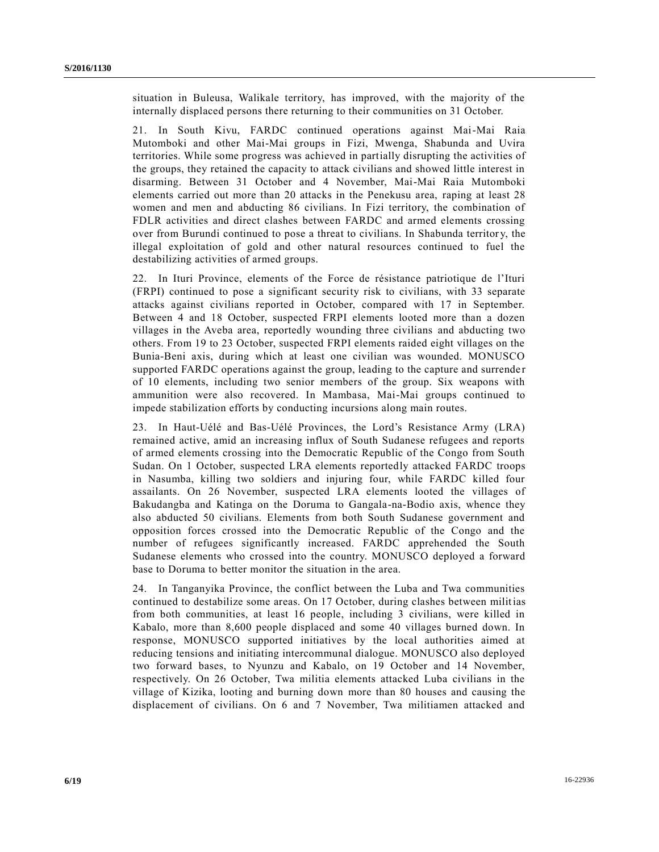situation in Buleusa, Walikale territory, has improved, with the majority of the internally displaced persons there returning to their communities on 31 October.

21. In South Kivu, FARDC continued operations against Mai-Mai Raia Mutomboki and other Mai-Mai groups in Fizi, Mwenga, Shabunda and Uvira territories. While some progress was achieved in partially disrupting the activities of the groups, they retained the capacity to attack civilians and showed little interest in disarming. Between 31 October and 4 November, Mai-Mai Raia Mutomboki elements carried out more than 20 attacks in the Penekusu area, raping at least 28 women and men and abducting 86 civilians. In Fizi territory, the combination of FDLR activities and direct clashes between FARDC and armed elements crossing over from Burundi continued to pose a threat to civilians. In Shabunda territor y, the illegal exploitation of gold and other natural resources continued to fuel the destabilizing activities of armed groups.

22. In Ituri Province, elements of the Force de résistance patriotique de l'Ituri (FRPI) continued to pose a significant security risk to civilians, with 33 separate attacks against civilians reported in October, compared with 17 in September. Between 4 and 18 October, suspected FRPI elements looted more than a dozen villages in the Aveba area, reportedly wounding three civilians and abducting two others. From 19 to 23 October, suspected FRPI elements raided eight villages on the Bunia-Beni axis, during which at least one civilian was wounded. MONUSCO supported FARDC operations against the group, leading to the capture and surrender of 10 elements, including two senior members of the group. Six weapons with ammunition were also recovered. In Mambasa, Mai-Mai groups continued to impede stabilization efforts by conducting incursions along main routes.

23. In Haut-Uélé and Bas-Uélé Provinces, the Lord's Resistance Army (LRA) remained active, amid an increasing influx of South Sudanese refugees and reports of armed elements crossing into the Democratic Republic of the Congo from South Sudan. On 1 October, suspected LRA elements reportedly attacked FARDC troops in Nasumba, killing two soldiers and injuring four, while FARDC killed four assailants. On 26 November, suspected LRA elements looted the villages of Bakudangba and Katinga on the Doruma to Gangala-na-Bodio axis, whence they also abducted 50 civilians. Elements from both South Sudanese government and opposition forces crossed into the Democratic Republic of the Congo and the number of refugees significantly increased. FARDC apprehended the South Sudanese elements who crossed into the country. MONUSCO deployed a forward base to Doruma to better monitor the situation in the area.

24. In Tanganyika Province, the conflict between the Luba and Twa communities continued to destabilize some areas. On 17 October, during clashes between militias from both communities, at least 16 people, including 3 civilians, were killed in Kabalo, more than 8,600 people displaced and some 40 villages burned down. In response, MONUSCO supported initiatives by the local authorities aimed at reducing tensions and initiating intercommunal dialogue. MONUSCO also deployed two forward bases, to Nyunzu and Kabalo, on 19 October and 14 November, respectively. On 26 October, Twa militia elements attacked Luba civilians in the village of Kizika, looting and burning down more than 80 houses and causing the displacement of civilians. On 6 and 7 November, Twa militiamen attacked and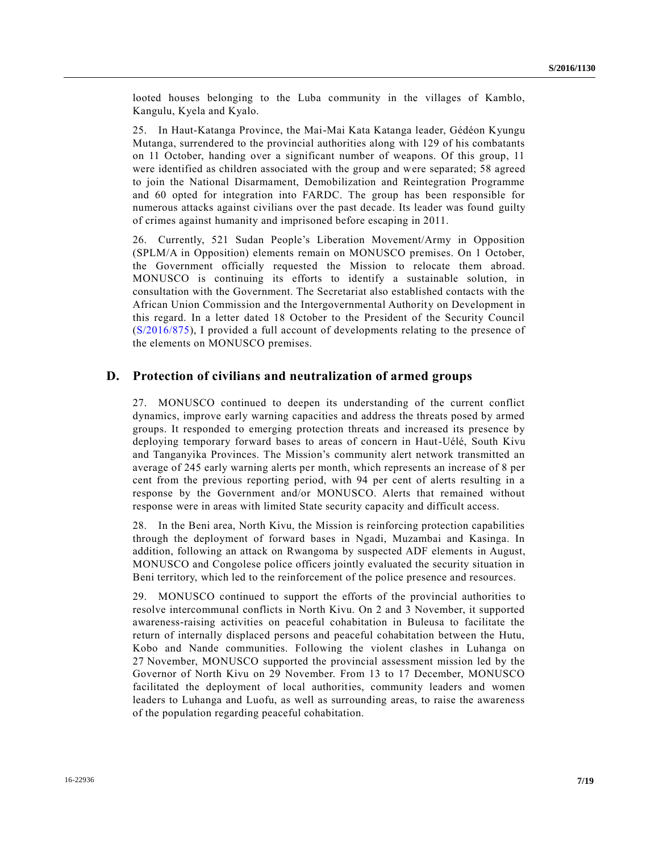looted houses belonging to the Luba community in the villages of Kamblo, Kangulu, Kyela and Kyalo.

25. In Haut-Katanga Province, the Mai-Mai Kata Katanga leader, Gédéon Kyungu Mutanga, surrendered to the provincial authorities along with 129 of his combatants on 11 October, handing over a significant number of weapons. Of this group, 11 were identified as children associated with the group and were separated; 58 agreed to join the National Disarmament, Demobilization and Reintegration Programme and 60 opted for integration into FARDC. The group has been responsible for numerous attacks against civilians over the past decade. Its leader was found guilty of crimes against humanity and imprisoned before escaping in 2011.

26. Currently, 521 Sudan People's Liberation Movement/Army in Opposition (SPLM/A in Opposition) elements remain on MONUSCO premises. On 1 October, the Government officially requested the Mission to relocate them abroad. MONUSCO is continuing its efforts to identify a sustainable solution, in consultation with the Government. The Secretariat also established contacts with the African Union Commission and the Intergovernmental Authority on Development in this regard. In a letter dated 18 October to the President of the Security Council [\(S/2016/875\)](http://undocs.org/S/2016/875), I provided a full account of developments relating to the presence of the elements on MONUSCO premises.

#### **D. Protection of civilians and neutralization of armed groups**

27. MONUSCO continued to deepen its understanding of the current conflict dynamics, improve early warning capacities and address the threats posed by armed groups. It responded to emerging protection threats and increased its presence by deploying temporary forward bases to areas of concern in Haut-Uélé, South Kivu and Tanganyika Provinces. The Mission's community alert network transmitted an average of 245 early warning alerts per month, which represents an increase of 8 per cent from the previous reporting period, with 94 per cent of alerts resulting in a response by the Government and/or MONUSCO. Alerts that remained without response were in areas with limited State security capacity and difficult access.

28. In the Beni area, North Kivu, the Mission is reinforcing protection capabilities through the deployment of forward bases in Ngadi, Muzambai and Kasinga. In addition, following an attack on Rwangoma by suspected ADF elements in August, MONUSCO and Congolese police officers jointly evaluated the security situation in Beni territory, which led to the reinforcement of the police presence and resources.

29. MONUSCO continued to support the efforts of the provincial authorities to resolve intercommunal conflicts in North Kivu. On 2 and 3 November, it supported awareness-raising activities on peaceful cohabitation in Buleusa to facilitate the return of internally displaced persons and peaceful cohabitation between the Hutu, Kobo and Nande communities. Following the violent clashes in Luhanga on 27 November, MONUSCO supported the provincial assessment mission led by the Governor of North Kivu on 29 November. From 13 to 17 December, MONUSCO facilitated the deployment of local authorities, community leaders and women leaders to Luhanga and Luofu, as well as surrounding areas, to raise the awareness of the population regarding peaceful cohabitation.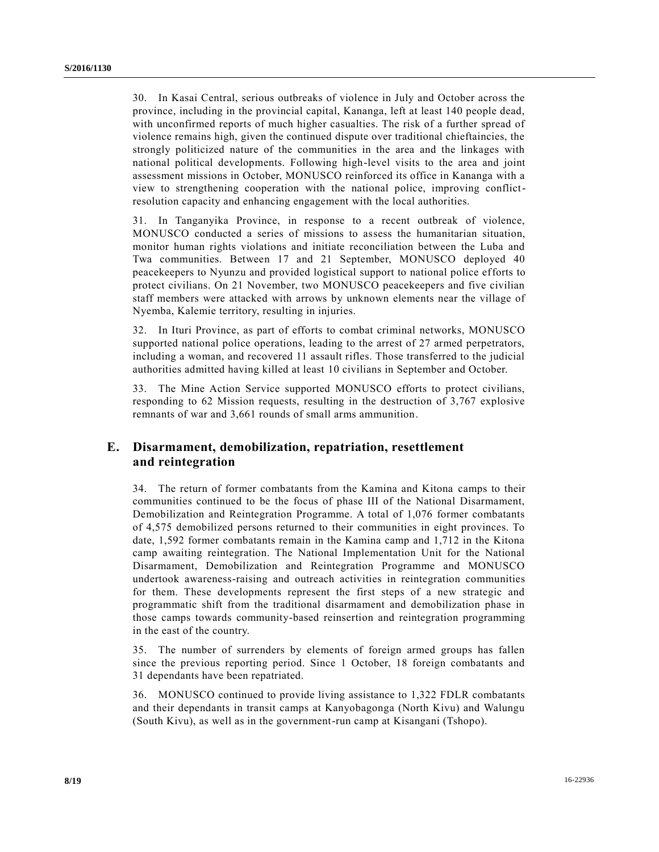30. In Kasai Central, serious outbreaks of violence in July and October across the province, including in the provincial capital, Kananga, left at least 140 people dead, with unconfirmed reports of much higher casualties. The risk of a further spread of violence remains high, given the continued dispute over traditional chieftaincies, the strongly politicized nature of the communities in the area and the linkages with national political developments. Following high-level visits to the area and joint assessment missions in October, MONUSCO reinforced its office in Kananga with a view to strengthening cooperation with the national police, improving conflictresolution capacity and enhancing engagement with the local authorities.

31. In Tanganyika Province, in response to a recent outbreak of violence, MONUSCO conducted a series of missions to assess the humanitarian situation, monitor human rights violations and initiate reconciliation between the Luba and Twa communities. Between 17 and 21 September, MONUSCO deployed 40 peacekeepers to Nyunzu and provided logistical support to national police efforts to protect civilians. On 21 November, two MONUSCO peacekeepers and five civilian staff members were attacked with arrows by unknown elements near the village of Nyemba, Kalemie territory, resulting in injuries.

32. In Ituri Province, as part of efforts to combat criminal networks, MONUSCO supported national police operations, leading to the arrest of 27 armed perpetrators, including a woman, and recovered 11 assault rifles. Those transferred to the judicial authorities admitted having killed at least 10 civilians in September and October.

33. The Mine Action Service supported MONUSCO efforts to protect civilians, responding to 62 Mission requests, resulting in the destruction of 3,767 explosive remnants of war and 3,661 rounds of small arms ammunition.

### **E. Disarmament, demobilization, repatriation, resettlement and reintegration**

34. The return of former combatants from the Kamina and Kitona camps to their communities continued to be the focus of phase III of the National Disarmament, Demobilization and Reintegration Programme. A total of 1,076 former combatants of 4,575 demobilized persons returned to their communities in eight provinces. To date, 1,592 former combatants remain in the Kamina camp and 1,712 in the Kitona camp awaiting reintegration. The National Implementation Unit for the National Disarmament, Demobilization and Reintegration Programme and MONUSCO undertook awareness-raising and outreach activities in reintegration communities for them. These developments represent the first steps of a new strategic and programmatic shift from the traditional disarmament and demobilization phase in those camps towards community-based reinsertion and reintegration programming in the east of the country.

35. The number of surrenders by elements of foreign armed groups has fallen since the previous reporting period. Since 1 October, 18 foreign combatants and 31 dependants have been repatriated.

36. MONUSCO continued to provide living assistance to 1,322 FDLR combatants and their dependants in transit camps at Kanyobagonga (North Kivu) and Walungu (South Kivu), as well as in the government-run camp at Kisangani (Tshopo).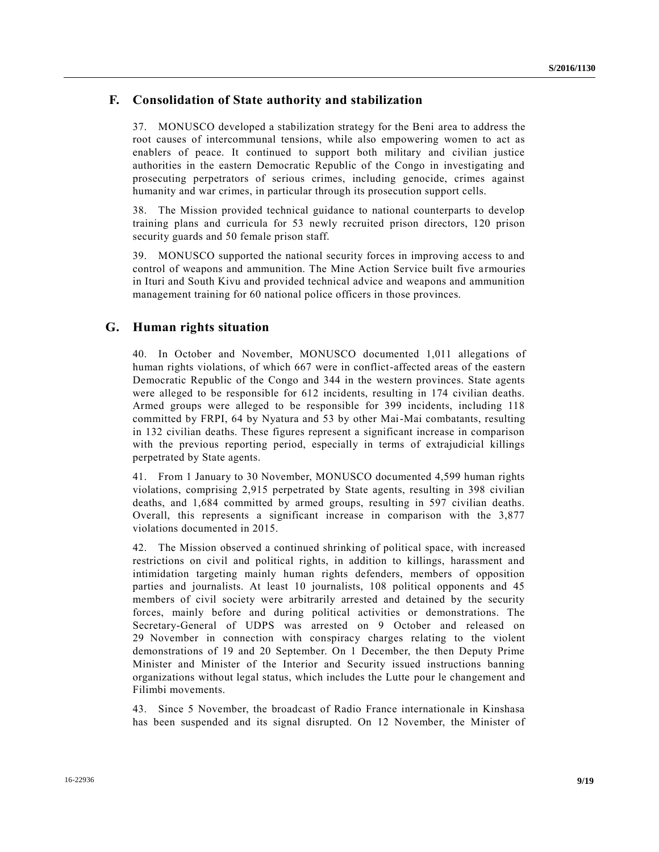### **F. Consolidation of State authority and stabilization**

37. MONUSCO developed a stabilization strategy for the Beni area to address the root causes of intercommunal tensions, while also empowering women to act as enablers of peace. It continued to support both military and civilian justice authorities in the eastern Democratic Republic of the Congo in investigating and prosecuting perpetrators of serious crimes, including genocide, crimes against humanity and war crimes, in particular through its prosecution support cells.

38. The Mission provided technical guidance to national counterparts to develop training plans and curricula for 53 newly recruited prison directors, 120 prison security guards and 50 female prison staff.

39. MONUSCO supported the national security forces in improving access to and control of weapons and ammunition. The Mine Action Service built five a rmouries in Ituri and South Kivu and provided technical advice and weapons and ammunition management training for 60 national police officers in those provinces.

#### **G. Human rights situation**

40. In October and November, MONUSCO documented 1,011 allegations of human rights violations, of which 667 were in conflict-affected areas of the eastern Democratic Republic of the Congo and 344 in the western provinces. State agents were alleged to be responsible for 612 incidents, resulting in 174 civilian deaths. Armed groups were alleged to be responsible for 399 incidents, including 118 committed by FRPI, 64 by Nyatura and 53 by other Mai-Mai combatants, resulting in 132 civilian deaths. These figures represent a significant increase in comparison with the previous reporting period, especially in terms of extrajudicial killings perpetrated by State agents.

41. From 1 January to 30 November, MONUSCO documented 4,599 human rights violations, comprising 2,915 perpetrated by State agents, resulting in 398 civilian deaths, and 1,684 committed by armed groups, resulting in 597 civilian deaths. Overall, this represents a significant increase in comparison with the 3,877 violations documented in 2015.

42. The Mission observed a continued shrinking of political space, with increased restrictions on civil and political rights, in addition to killings, harassment and intimidation targeting mainly human rights defenders, members of opposition parties and journalists. At least 10 journalists, 108 political opponents and 45 members of civil society were arbitrarily arrested and detained by the security forces, mainly before and during political activities or demonstrations. The Secretary-General of UDPS was arrested on 9 October and released on 29 November in connection with conspiracy charges relating to the violent demonstrations of 19 and 20 September. On 1 December, the then Deputy Prime Minister and Minister of the Interior and Security issued instructions banning organizations without legal status, which includes the Lutte pour le changement and Filimbi movements.

43. Since 5 November, the broadcast of Radio France internationale in Kinshasa has been suspended and its signal disrupted. On 12 November, the Minister of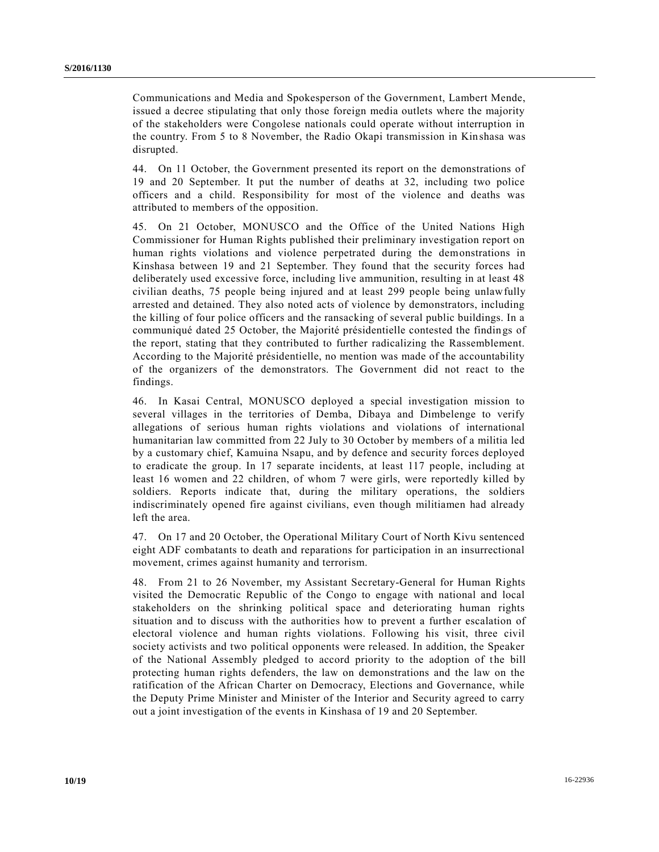Communications and Media and Spokesperson of the Government, Lambert Mende, issued a decree stipulating that only those foreign media outlets where the majority of the stakeholders were Congolese nationals could operate without interruption in the country. From 5 to 8 November, the Radio Okapi transmission in Kinshasa was disrupted.

44. On 11 October, the Government presented its report on the demonstrations of 19 and 20 September. It put the number of deaths at 32, including two police officers and a child. Responsibility for most of the violence and deaths was attributed to members of the opposition.

45. On 21 October, MONUSCO and the Office of the United Nations High Commissioner for Human Rights published their preliminary investigation report on human rights violations and violence perpetrated during the demonstrations in Kinshasa between 19 and 21 September. They found that the security forces had deliberately used excessive force, including live ammunition, resulting in at least 48 civilian deaths, 75 people being injured and at least 299 people being unlawfully arrested and detained. They also noted acts of violence by demonstrators, including the killing of four police officers and the ransacking of several public buildings. In a communiqué dated 25 October, the Majorité présidentielle contested the findings of the report, stating that they contributed to further radicalizing the Rassemblement. According to the Majorité présidentielle, no mention was made of the accountability of the organizers of the demonstrators. The Government did not react to the findings.

46. In Kasai Central, MONUSCO deployed a special investigation mission to several villages in the territories of Demba, Dibaya and Dimbelenge to verify allegations of serious human rights violations and violations of international humanitarian law committed from 22 July to 30 October by members of a militia led by a customary chief, Kamuina Nsapu, and by defence and security forces deployed to eradicate the group. In 17 separate incidents, at least 117 people, including at least 16 women and 22 children, of whom 7 were girls, were reportedly killed by soldiers. Reports indicate that, during the military operations, the soldiers indiscriminately opened fire against civilians, even though militiamen had already left the area.

47. On 17 and 20 October, the Operational Military Court of North Kivu sentenced eight ADF combatants to death and reparations for participation in an insurrectional movement, crimes against humanity and terrorism.

48. From 21 to 26 November, my Assistant Secretary-General for Human Rights visited the Democratic Republic of the Congo to engage with national and local stakeholders on the shrinking political space and deteriorating human rights situation and to discuss with the authorities how to prevent a further escalation of electoral violence and human rights violations. Following his visit, three civil society activists and two political opponents were released. In addition, the Speaker of the National Assembly pledged to accord priority to the adoption of the bill protecting human rights defenders, the law on demonstrations and the law on the ratification of the African Charter on Democracy, Elections and Governance, while the Deputy Prime Minister and Minister of the Interior and Security agreed to carry out a joint investigation of the events in Kinshasa of 19 and 20 September.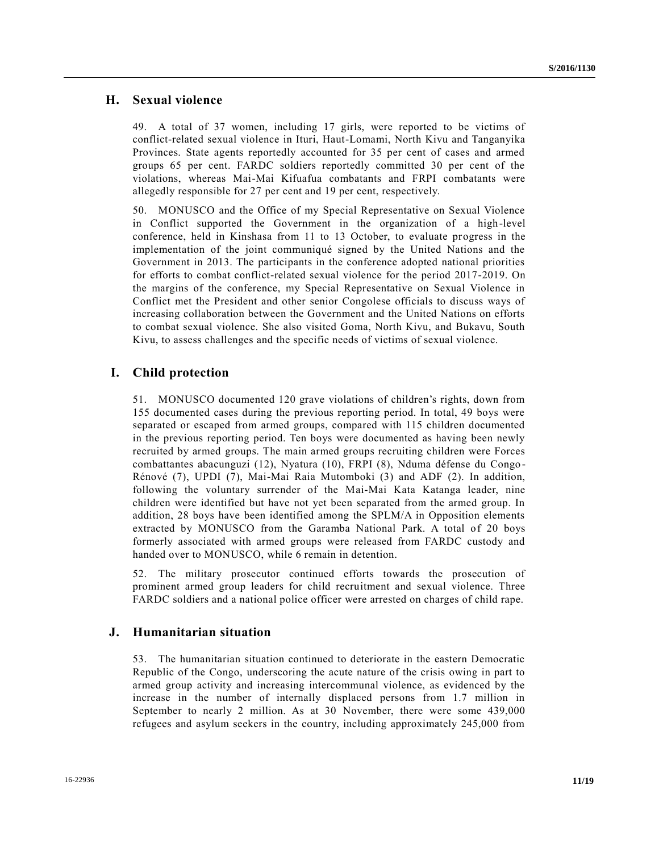#### **H. Sexual violence**

49. A total of 37 women, including 17 girls, were reported to be victims of conflict-related sexual violence in Ituri, Haut-Lomami, North Kivu and Tanganyika Provinces. State agents reportedly accounted for 35 per cent of cases and armed groups 65 per cent. FARDC soldiers reportedly committed 30 per cent of the violations, whereas Mai-Mai Kifuafua combatants and FRPI combatants were allegedly responsible for 27 per cent and 19 per cent, respectively.

50. MONUSCO and the Office of my Special Representative on Sexual Violence in Conflict supported the Government in the organization of a high-level conference, held in Kinshasa from 11 to 13 October, to evaluate progress in the implementation of the joint communiqué signed by the United Nations and the Government in 2013. The participants in the conference adopted national priorities for efforts to combat conflict-related sexual violence for the period 2017-2019. On the margins of the conference, my Special Representative on Sexual Violence in Conflict met the President and other senior Congolese officials to discuss ways of increasing collaboration between the Government and the United Nations on efforts to combat sexual violence. She also visited Goma, North Kivu, and Bukavu, South Kivu, to assess challenges and the specific needs of victims of sexual violence.

#### **I. Child protection**

51. MONUSCO documented 120 grave violations of children's rights, down from 155 documented cases during the previous reporting period. In total, 49 boys were separated or escaped from armed groups, compared with 115 children documented in the previous reporting period. Ten boys were documented as having been newly recruited by armed groups. The main armed groups recruiting children were Forces combattantes abacunguzi (12), Nyatura (10), FRPI (8), Nduma défense du Congo - Rénové (7), UPDI (7), Mai-Mai Raia Mutomboki (3) and ADF (2). In addition, following the voluntary surrender of the Mai-Mai Kata Katanga leader, nine children were identified but have not yet been separated from the armed group. In addition, 28 boys have been identified among the SPLM/A in Opposition elements extracted by MONUSCO from the Garamba National Park. A total of 20 boys formerly associated with armed groups were released from FARDC custody and handed over to MONUSCO, while 6 remain in detention.

52. The military prosecutor continued efforts towards the prosecution of prominent armed group leaders for child recruitment and sexual violence. Three FARDC soldiers and a national police officer were arrested on charges of child rape.

#### **J. Humanitarian situation**

53. The humanitarian situation continued to deteriorate in the eastern Democratic Republic of the Congo, underscoring the acute nature of the crisis owing in part to armed group activity and increasing intercommunal violence, as evidenced by the increase in the number of internally displaced persons from 1.7 million in September to nearly 2 million. As at 30 November, there were some 439,000 refugees and asylum seekers in the country, including approximately 245,000 from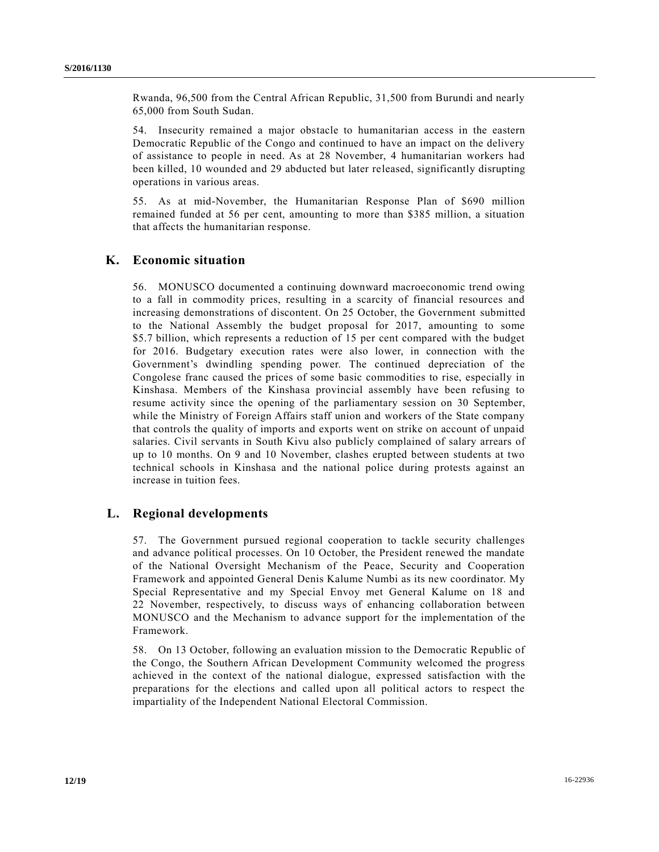Rwanda, 96,500 from the Central African Republic, 31,500 from Burundi and nearly 65,000 from South Sudan.

54. Insecurity remained a major obstacle to humanitarian access in the eastern Democratic Republic of the Congo and continued to have an impact on the delivery of assistance to people in need. As at 28 November, 4 humanitarian workers had been killed, 10 wounded and 29 abducted but later released, significantly disrupting operations in various areas.

55. As at mid-November, the Humanitarian Response Plan of \$690 million remained funded at 56 per cent, amounting to more than \$385 million, a situation that affects the humanitarian response.

#### **K. Economic situation**

56. MONUSCO documented a continuing downward macroeconomic trend owing to a fall in commodity prices, resulting in a scarcity of financial resources and increasing demonstrations of discontent. On 25 October, the Government submitted to the National Assembly the budget proposal for 2017, amounting to some \$5.7 billion, which represents a reduction of 15 per cent compared with the budget for 2016. Budgetary execution rates were also lower, in connection with the Government's dwindling spending power. The continued depreciation of the Congolese franc caused the prices of some basic commodities to rise, especially in Kinshasa. Members of the Kinshasa provincial assembly have been refusing to resume activity since the opening of the parliamentary session on 30 September, while the Ministry of Foreign Affairs staff union and workers of the State company that controls the quality of imports and exports went on strike on account of unpaid salaries. Civil servants in South Kivu also publicly complained of salary arrears of up to 10 months. On 9 and 10 November, clashes erupted between students at two technical schools in Kinshasa and the national police during protests against an increase in tuition fees.

#### **L. Regional developments**

57. The Government pursued regional cooperation to tackle security challenges and advance political processes. On 10 October, the President renewed the mandate of the National Oversight Mechanism of the Peace, Security and Cooperation Framework and appointed General Denis Kalume Numbi as its new coordinator. My Special Representative and my Special Envoy met General Kalume on 18 and 22 November, respectively, to discuss ways of enhancing collaboration between MONUSCO and the Mechanism to advance support for the implementation of the Framework.

58. On 13 October, following an evaluation mission to the Democratic Republic of the Congo, the Southern African Development Community welcomed the progress achieved in the context of the national dialogue, expressed satisfaction with the preparations for the elections and called upon all political actors to respect the impartiality of the Independent National Electoral Commission.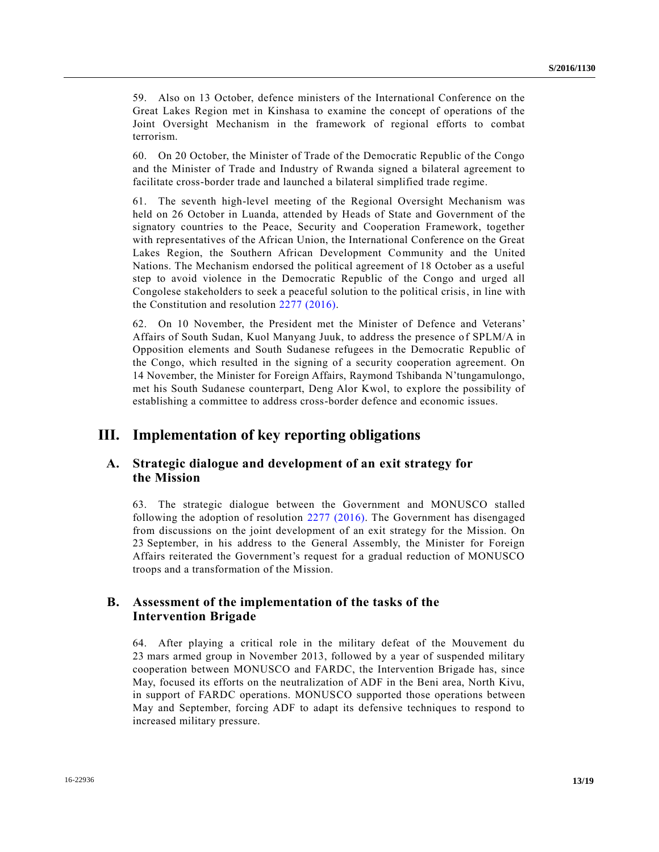59. Also on 13 October, defence ministers of the International Conference on the Great Lakes Region met in Kinshasa to examine the concept of operations of the Joint Oversight Mechanism in the framework of regional efforts to combat terrorism.

60. On 20 October, the Minister of Trade of the Democratic Republic of the Congo and the Minister of Trade and Industry of Rwanda signed a bilateral agreement to facilitate cross-border trade and launched a bilateral simplified trade regime.

61. The seventh high-level meeting of the Regional Oversight Mechanism was held on 26 October in Luanda, attended by Heads of State and Government of the signatory countries to the Peace, Security and Cooperation Framework, together with representatives of the African Union, the International Conference on the Great Lakes Region, the Southern African Development Community and the United Nations. The Mechanism endorsed the political agreement of 18 October as a useful step to avoid violence in the Democratic Republic of the Congo and urged all Congolese stakeholders to seek a peaceful solution to the political crisis, in line with the Constitution and resolution [2277 \(2016\).](http://undocs.org/S/RES/2277(2016))

62. On 10 November, the President met the Minister of Defence and Veterans' Affairs of South Sudan, Kuol Manyang Juuk, to address the presence of SPLM/A in Opposition elements and South Sudanese refugees in the Democratic Republic of the Congo, which resulted in the signing of a security cooperation agreement. On 14 November, the Minister for Foreign Affairs, Raymond Tshibanda N'tungamulongo, met his South Sudanese counterpart, Deng Alor Kwol, to explore the possibility of establishing a committee to address cross-border defence and economic issues.

# **III. Implementation of key reporting obligations**

### **A. Strategic dialogue and development of an exit strategy for the Mission**

63. The strategic dialogue between the Government and MONUSCO stalled following the adoption of resolution [2277 \(2016\).](http://undocs.org/S/RES/2277(2016)) The Government has disengaged from discussions on the joint development of an exit strategy for the Mission. On 23 September, in his address to the General Assembly, the Minister for Foreign Affairs reiterated the Government's request for a gradual reduction of MONUSCO troops and a transformation of the Mission.

### **B. Assessment of the implementation of the tasks of the Intervention Brigade**

64. After playing a critical role in the military defeat of the Mouvement du 23 mars armed group in November 2013, followed by a year of suspended military cooperation between MONUSCO and FARDC, the Intervention Brigade has, since May, focused its efforts on the neutralization of ADF in the Beni area, North Kivu, in support of FARDC operations. MONUSCO supported those operations between May and September, forcing ADF to adapt its defensive techniques to respond to increased military pressure.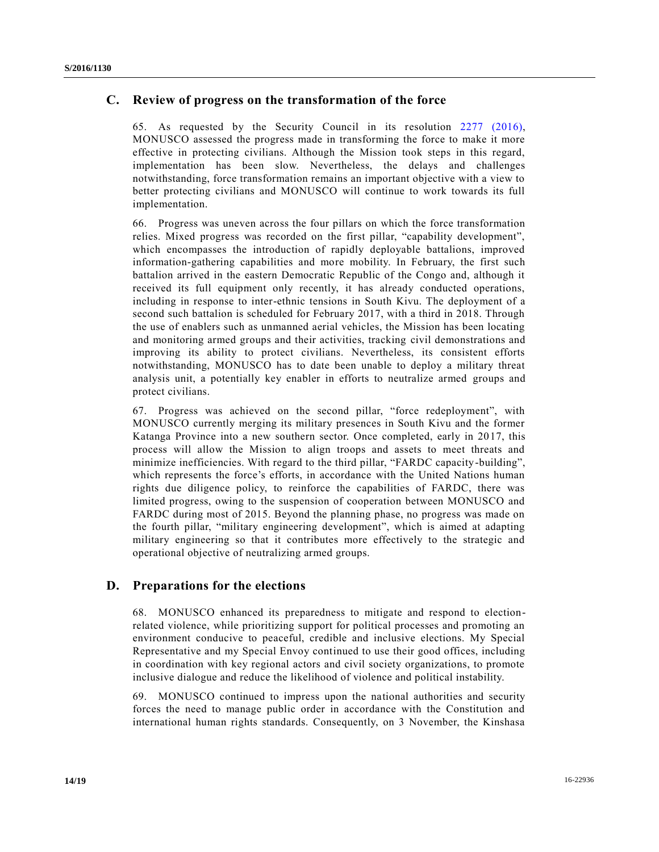#### **C. Review of progress on the transformation of the force**

65. As requested by the Security Council in its resolution [2277 \(2016\),](http://undocs.org/S/RES/2277(2016)) MONUSCO assessed the progress made in transforming the force to make it more effective in protecting civilians. Although the Mission took steps in this regard, implementation has been slow. Nevertheless, the delays and challenges notwithstanding, force transformation remains an important objective with a view to better protecting civilians and MONUSCO will continue to work towards its full implementation.

66. Progress was uneven across the four pillars on which the force transformation relies. Mixed progress was recorded on the first pillar, "capability development", which encompasses the introduction of rapidly deployable battalions, improved information-gathering capabilities and more mobility. In February, the first such battalion arrived in the eastern Democratic Republic of the Congo and, although it received its full equipment only recently, it has already conducted operations, including in response to inter-ethnic tensions in South Kivu. The deployment of a second such battalion is scheduled for February 2017, with a third in 2018. Through the use of enablers such as unmanned aerial vehicles, the Mission has been locating and monitoring armed groups and their activities, tracking civil demonstrations and improving its ability to protect civilians. Nevertheless, its consistent efforts notwithstanding, MONUSCO has to date been unable to deploy a military threat analysis unit, a potentially key enabler in efforts to neutralize armed groups and protect civilians.

67. Progress was achieved on the second pillar, "force redeployment", with MONUSCO currently merging its military presences in South Kivu and the former Katanga Province into a new southern sector. Once completed, early in 2017, this process will allow the Mission to align troops and assets to meet threats and minimize inefficiencies. With regard to the third pillar, "FARDC capacity-building", which represents the force's efforts, in accordance with the United Nations human rights due diligence policy, to reinforce the capabilities of FARDC, there was limited progress, owing to the suspension of cooperation between MONUSCO and FARDC during most of 2015. Beyond the planning phase, no progress was made on the fourth pillar, "military engineering development", which is aimed at adapting military engineering so that it contributes more effectively to the strategic and operational objective of neutralizing armed groups.

#### **D. Preparations for the elections**

68. MONUSCO enhanced its preparedness to mitigate and respond to electionrelated violence, while prioritizing support for political processes and promoting an environment conducive to peaceful, credible and inclusive elections. My Special Representative and my Special Envoy continued to use their good offices, including in coordination with key regional actors and civil society organizations, to promote inclusive dialogue and reduce the likelihood of violence and political instability.

69. MONUSCO continued to impress upon the national authorities and security forces the need to manage public order in accordance with the Constitution and international human rights standards. Consequently, on 3 November, the Kinshasa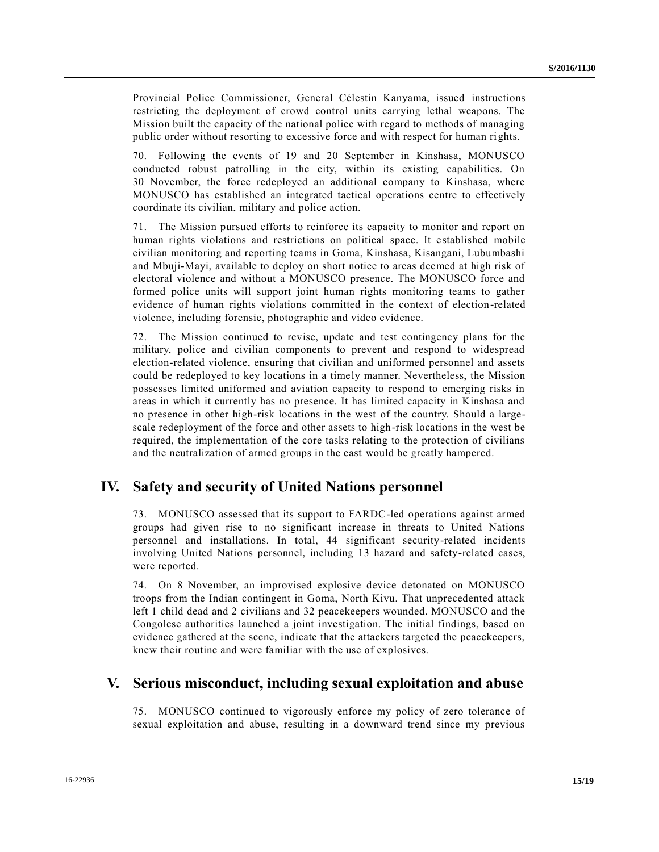Provincial Police Commissioner, General Célestin Kanyama, issued instructions restricting the deployment of crowd control units carrying lethal weapons. The Mission built the capacity of the national police with regard to methods of managing public order without resorting to excessive force and with respect for human rights.

70. Following the events of 19 and 20 September in Kinshasa, MONUSCO conducted robust patrolling in the city, within its existing capabilities. On 30 November, the force redeployed an additional company to Kinshasa, where MONUSCO has established an integrated tactical operations centre to effectively coordinate its civilian, military and police action.

71. The Mission pursued efforts to reinforce its capacity to monitor and report on human rights violations and restrictions on political space. It established mobile civilian monitoring and reporting teams in Goma, Kinshasa, Kisangani, Lubumbashi and Mbuji-Mayi, available to deploy on short notice to areas deemed at high risk of electoral violence and without a MONUSCO presence. The MONUSCO force and formed police units will support joint human rights monitoring teams to gather evidence of human rights violations committed in the context of election-related violence, including forensic, photographic and video evidence.

72. The Mission continued to revise, update and test contingency plans for the military, police and civilian components to prevent and respond to widespread election-related violence, ensuring that civilian and uniformed personnel and assets could be redeployed to key locations in a timely manner. Nevertheless, the Mission possesses limited uniformed and aviation capacity to respond to emerging risks in areas in which it currently has no presence. It has limited capacity in Kinshasa and no presence in other high-risk locations in the west of the country. Should a largescale redeployment of the force and other assets to high-risk locations in the west be required, the implementation of the core tasks relating to the protection of civilians and the neutralization of armed groups in the east would be greatly hampered.

# **IV. Safety and security of United Nations personnel**

73. MONUSCO assessed that its support to FARDC-led operations against armed groups had given rise to no significant increase in threats to United Nations personnel and installations. In total, 44 significant security-related incidents involving United Nations personnel, including 13 hazard and safety-related cases, were reported.

74. On 8 November, an improvised explosive device detonated on MONUSCO troops from the Indian contingent in Goma, North Kivu. That unprecedented attack left 1 child dead and 2 civilians and 32 peacekeepers wounded. MONUSCO and the Congolese authorities launched a joint investigation. The initial findings, based on evidence gathered at the scene, indicate that the attackers targeted the peacekeepers, knew their routine and were familiar with the use of explosives.

# **V. Serious misconduct, including sexual exploitation and abuse**

75. MONUSCO continued to vigorously enforce my policy of zero tolerance of sexual exploitation and abuse, resulting in a downward trend since my previous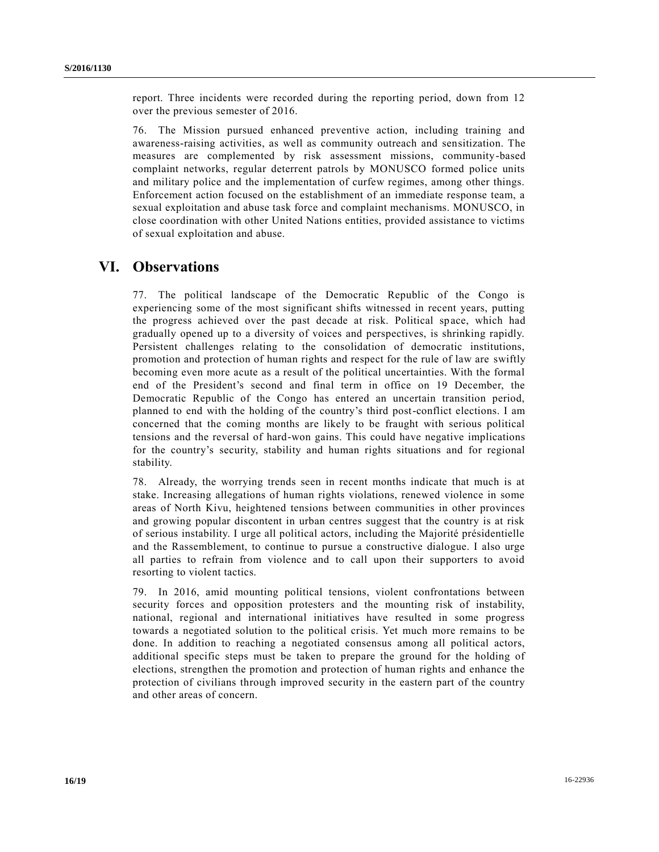report. Three incidents were recorded during the reporting period, down from 12 over the previous semester of 2016.

76. The Mission pursued enhanced preventive action, including training and awareness-raising activities, as well as community outreach and sensitization. The measures are complemented by risk assessment missions, community-based complaint networks, regular deterrent patrols by MONUSCO formed police units and military police and the implementation of curfew regimes, among other things. Enforcement action focused on the establishment of an immediate response team, a sexual exploitation and abuse task force and complaint mechanisms. MONUSCO, in close coordination with other United Nations entities, provided assistance to victims of sexual exploitation and abuse.

## **VI. Observations**

77. The political landscape of the Democratic Republic of the Congo is experiencing some of the most significant shifts witnessed in recent years, putting the progress achieved over the past decade at risk. Political space, which had gradually opened up to a diversity of voices and perspectives, is shrinking rapidly. Persistent challenges relating to the consolidation of democratic institutions, promotion and protection of human rights and respect for the rule of law are swiftly becoming even more acute as a result of the political uncertainties. With the formal end of the President's second and final term in office on 19 December, the Democratic Republic of the Congo has entered an uncertain transition period, planned to end with the holding of the country's third post-conflict elections. I am concerned that the coming months are likely to be fraught with serious political tensions and the reversal of hard-won gains. This could have negative implications for the country's security, stability and human rights situations and for regional stability.

78. Already, the worrying trends seen in recent months indicate that much is at stake. Increasing allegations of human rights violations, renewed violence in some areas of North Kivu, heightened tensions between communities in other provinces and growing popular discontent in urban centres suggest that the country is at risk of serious instability. I urge all political actors, including the Majorité présidentielle and the Rassemblement, to continue to pursue a constructive dialogue. I also urge all parties to refrain from violence and to call upon their supporters to avoid resorting to violent tactics.

79. In 2016, amid mounting political tensions, violent confrontations between security forces and opposition protesters and the mounting risk of instability, national, regional and international initiatives have resulted in some progress towards a negotiated solution to the political crisis. Yet much more remains to be done. In addition to reaching a negotiated consensus among all political actors, additional specific steps must be taken to prepare the ground for the holding of elections, strengthen the promotion and protection of human rights and enhance the protection of civilians through improved security in the eastern part of the country and other areas of concern.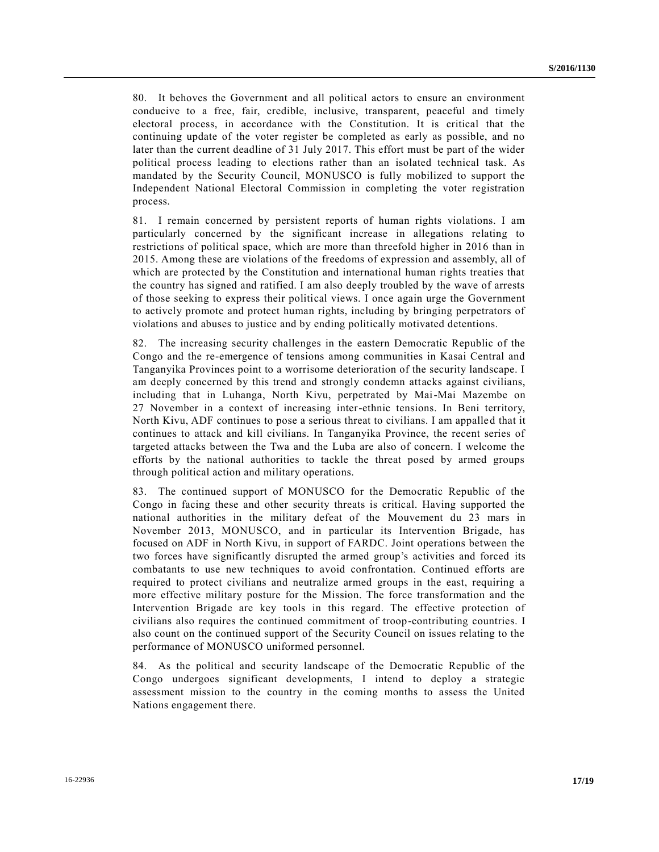80. It behoves the Government and all political actors to ensure an environment conducive to a free, fair, credible, inclusive, transparent, peaceful and timely electoral process, in accordance with the Constitution. It is critical that the continuing update of the voter register be completed as early as possible, and no later than the current deadline of 31 July 2017. This effort must be part of the wider political process leading to elections rather than an isolated technical task. As mandated by the Security Council, MONUSCO is fully mobilized to support the Independent National Electoral Commission in completing the voter registration process.

81. I remain concerned by persistent reports of human rights violations. I am particularly concerned by the significant increase in allegations relating to restrictions of political space, which are more than threefold higher in 2016 than in 2015. Among these are violations of the freedoms of expression and assembly, all of which are protected by the Constitution and international human rights treaties that the country has signed and ratified. I am also deeply troubled by the wave of arrests of those seeking to express their political views. I once again urge the Government to actively promote and protect human rights, including by bringing perpetrators of violations and abuses to justice and by ending politically motivated detentions.

82. The increasing security challenges in the eastern Democratic Republic of the Congo and the re-emergence of tensions among communities in Kasai Central and Tanganyika Provinces point to a worrisome deterioration of the security landscape. I am deeply concerned by this trend and strongly condemn attacks against civilians, including that in Luhanga, North Kivu, perpetrated by Mai-Mai Mazembe on 27 November in a context of increasing inter-ethnic tensions. In Beni territory, North Kivu, ADF continues to pose a serious threat to civilians. I am appalled that it continues to attack and kill civilians. In Tanganyika Province, the recent series of targeted attacks between the Twa and the Luba are also of concern. I welcome the efforts by the national authorities to tackle the threat posed by armed groups through political action and military operations.

83. The continued support of MONUSCO for the Democratic Republic of the Congo in facing these and other security threats is critical. Having supported the national authorities in the military defeat of the Mouvement du 23 mars in November 2013, MONUSCO, and in particular its Intervention Brigade, has focused on ADF in North Kivu, in support of FARDC. Joint operations between the two forces have significantly disrupted the armed group's activities and forced its combatants to use new techniques to avoid confrontation. Continued efforts are required to protect civilians and neutralize armed groups in the east, requiring a more effective military posture for the Mission. The force transformation and the Intervention Brigade are key tools in this regard. The effective protection of civilians also requires the continued commitment of troop-contributing countries. I also count on the continued support of the Security Council on issues relating to the performance of MONUSCO uniformed personnel.

84. As the political and security landscape of the Democratic Republic of the Congo undergoes significant developments, I intend to deploy a strategic assessment mission to the country in the coming months to assess the United Nations engagement there.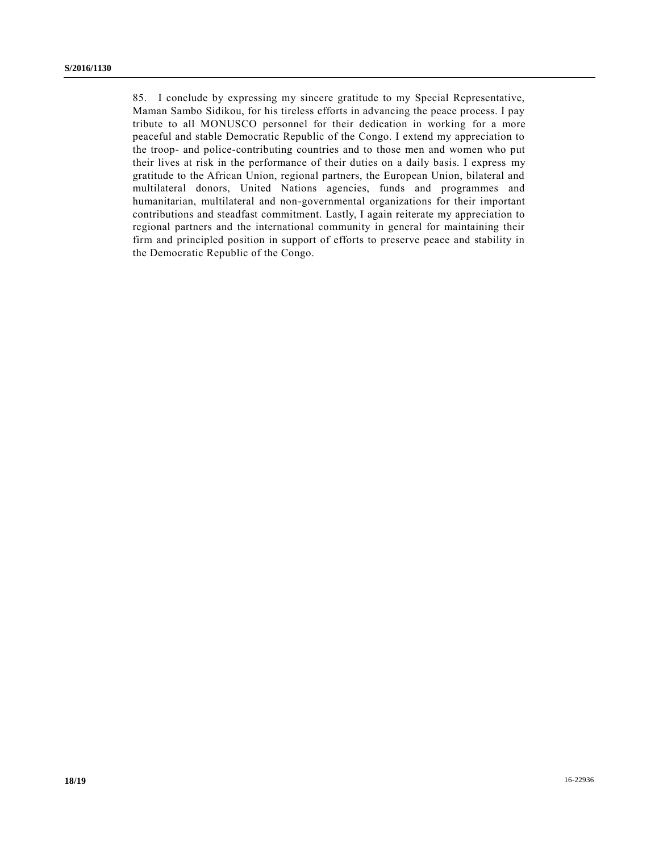85. I conclude by expressing my sincere gratitude to my Special Representative, Maman Sambo Sidikou, for his tireless efforts in advancing the peace process. I pay tribute to all MONUSCO personnel for their dedication in working for a more peaceful and stable Democratic Republic of the Congo. I extend my appreciation to the troop- and police-contributing countries and to those men and women who put their lives at risk in the performance of their duties on a daily basis. I express my gratitude to the African Union, regional partners, the European Union, bilateral and multilateral donors, United Nations agencies, funds and programmes and humanitarian, multilateral and non-governmental organizations for their important contributions and steadfast commitment. Lastly, I again reiterate my appreciation to regional partners and the international community in general for maintaining their firm and principled position in support of efforts to preserve peace and stability in the Democratic Republic of the Congo.